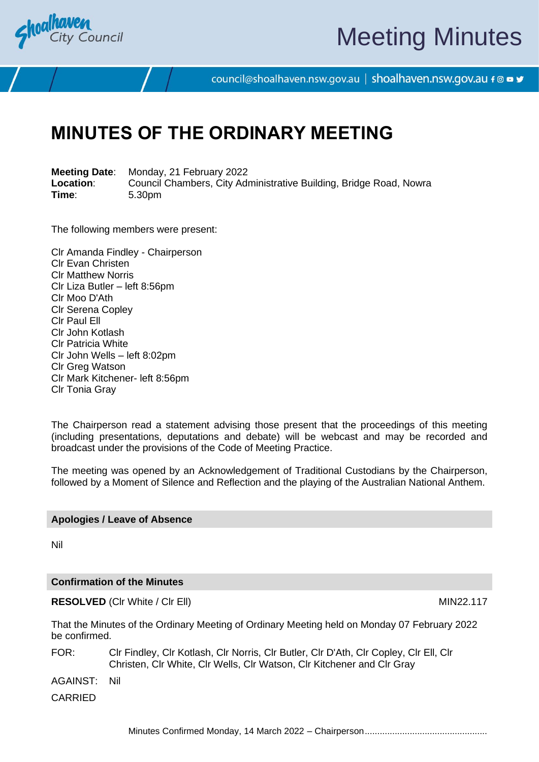

# Meeting Minutes

council@shoalhaven.nsw.gov.au | shoalhaven.nsw.gov.au f @ ■ y

# **MINUTES OF THE ORDINARY MEETING**

**Meeting Date**: Monday, 21 February 2022 **Location:** Council Chambers, City Administrative Building, Bridge Road, Nowra<br>
Time: 5.30pm **Time**: 5.30pm

The following members were present:

Clr Amanda Findley - Chairperson Clr Evan Christen Clr Matthew Norris Clr Liza Butler – left 8:56pm Clr Moo D'Ath Clr Serena Copley Clr Paul Ell Clr John Kotlash Clr Patricia White Clr John Wells – left 8:02pm Clr Greg Watson Clr Mark Kitchener- left 8:56pm Clr Tonia Gray

The Chairperson read a statement advising those present that the proceedings of this meeting (including presentations, deputations and debate) will be webcast and may be recorded and broadcast under the provisions of the Code of Meeting Practice.

The meeting was opened by an Acknowledgement of Traditional Custodians by the Chairperson, followed by a Moment of Silence and Reflection and the playing of the Australian National Anthem.

#### **Apologies / Leave of Absence**

Nil

#### **Confirmation of the Minutes**

**RESOLVED** (CIr White / CIr Ell) MIN22.117

That the Minutes of the Ordinary Meeting of Ordinary Meeting held on Monday 07 February 2022 be confirmed.

FOR: Clr Findley, Clr Kotlash, Clr Norris, Clr Butler, Clr D'Ath, Clr Copley, Clr Ell, Clr Christen, Clr White, Clr Wells, Clr Watson, Clr Kitchener and Clr Gray

AGAINST: Nil

CARRIED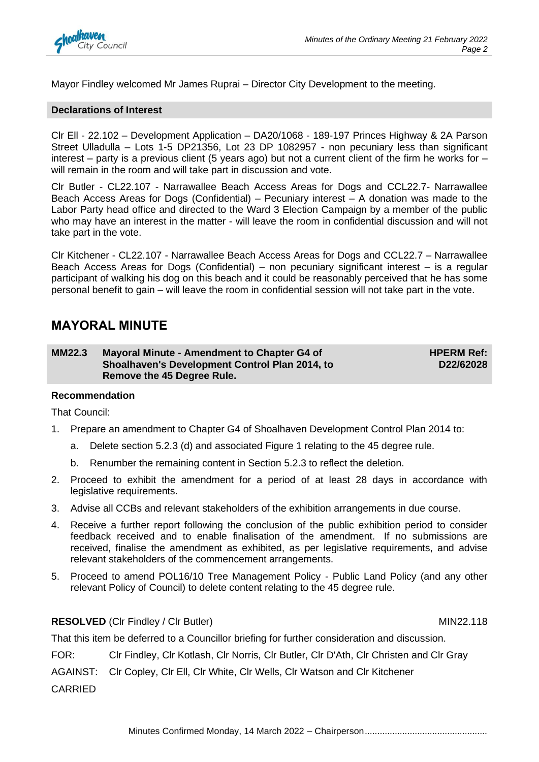

Mayor Findley welcomed Mr James Ruprai – Director City Development to the meeting.

#### **Declarations of Interest**

Clr Ell - 22.102 – Development Application – DA20/1068 - 189-197 Princes Highway & 2A Parson Street Ulladulla – Lots 1-5 DP21356, Lot 23 DP 1082957 - non pecuniary less than significant interest – party is a previous client (5 years ago) but not a current client of the firm he works for – will remain in the room and will take part in discussion and vote.

Clr Butler - CL22.107 - Narrawallee Beach Access Areas for Dogs and CCL22.7- Narrawallee Beach Access Areas for Dogs (Confidential) – Pecuniary interest – A donation was made to the Labor Party head office and directed to the Ward 3 Election Campaign by a member of the public who may have an interest in the matter - will leave the room in confidential discussion and will not take part in the vote.

Clr Kitchener - CL22.107 - Narrawallee Beach Access Areas for Dogs and CCL22.7 – Narrawallee Beach Access Areas for Dogs (Confidential) – non pecuniary significant interest – is a regular participant of walking his dog on this beach and it could be reasonably perceived that he has some personal benefit to gain – will leave the room in confidential session will not take part in the vote.

## **MAYORAL MINUTE**

**MM22.3 Mayoral Minute - Amendment to Chapter G4 of Shoalhaven's Development Control Plan 2014, to Remove the 45 Degree Rule.**

**HPERM Ref: D22/62028**

#### **Recommendation**

That Council:

- 1. Prepare an amendment to Chapter G4 of Shoalhaven Development Control Plan 2014 to:
	- a. Delete section 5.2.3 (d) and associated Figure 1 relating to the 45 degree rule.
	- b. Renumber the remaining content in Section 5.2.3 to reflect the deletion.
- 2. Proceed to exhibit the amendment for a period of at least 28 days in accordance with legislative requirements.
- 3. Advise all CCBs and relevant stakeholders of the exhibition arrangements in due course.
- 4. Receive a further report following the conclusion of the public exhibition period to consider feedback received and to enable finalisation of the amendment. If no submissions are received, finalise the amendment as exhibited, as per legislative requirements, and advise relevant stakeholders of the commencement arrangements.
- 5. Proceed to amend POL16/10 Tree Management Policy Public Land Policy (and any other relevant Policy of Council) to delete content relating to the 45 degree rule.

#### **RESOLVED** (CIr Findley / CIr Butler) MIN22.118

That this item be deferred to a Councillor briefing for further consideration and discussion.

FOR: Clr Findley, Clr Kotlash, Clr Norris, Clr Butler, Clr D'Ath, Clr Christen and Clr Gray

AGAINST: Clr Copley, Clr Ell, Clr White, Clr Wells, Clr Watson and Clr Kitchener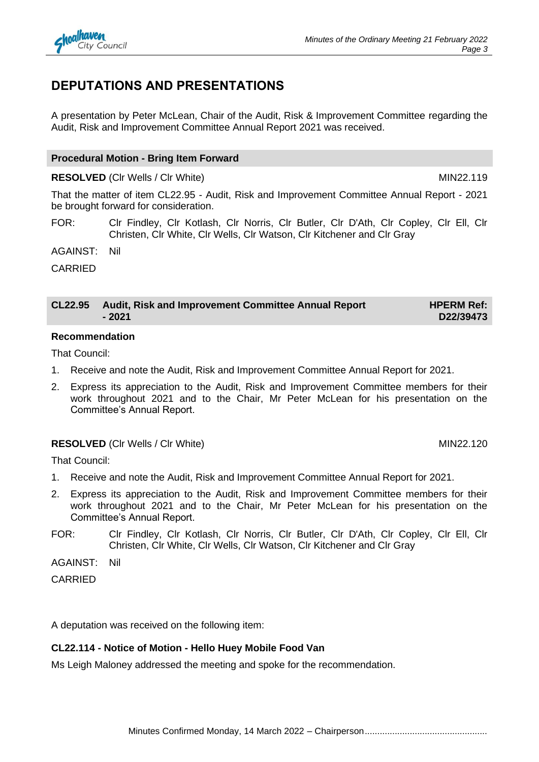# **DEPUTATIONS AND PRESENTATIONS**

A presentation by Peter McLean, Chair of the Audit, Risk & Improvement Committee regarding the Audit, Risk and Improvement Committee Annual Report 2021 was received.

## **Procedural Motion - Bring Item Forward**

## **RESOLVED** (CIr Wells / CIr White) MIN22.119

That the matter of item CL22.95 - Audit, Risk and Improvement Committee Annual Report - 2021 be brought forward for consideration.

FOR: Clr Findley, Clr Kotlash, Clr Norris, Clr Butler, Clr D'Ath, Clr Copley, Clr Ell, Clr Christen, Clr White, Clr Wells, Clr Watson, Clr Kitchener and Clr Gray

AGAINST: Nil

CARRIED

#### **CL22.95 Audit, Risk and Improvement Committee Annual Report - 2021 HPERM Ref: D22/39473**

### **Recommendation**

That Council:

- 1. Receive and note the Audit, Risk and Improvement Committee Annual Report for 2021.
- 2. Express its appreciation to the Audit, Risk and Improvement Committee members for their work throughout 2021 and to the Chair, Mr Peter McLean for his presentation on the Committee's Annual Report.

## **RESOLVED** (CIr Wells / CIr White) MIN22.120

That Council:

- 1. Receive and note the Audit, Risk and Improvement Committee Annual Report for 2021.
- 2. Express its appreciation to the Audit, Risk and Improvement Committee members for their work throughout 2021 and to the Chair, Mr Peter McLean for his presentation on the Committee's Annual Report.
- FOR: Clr Findley, Clr Kotlash, Clr Norris, Clr Butler, Clr D'Ath, Clr Copley, Clr Ell, Clr Christen, Clr White, Clr Wells, Clr Watson, Clr Kitchener and Clr Gray

AGAINST: Nil

CARRIED

A deputation was received on the following item:

## **CL22.114 - Notice of Motion - Hello Huey Mobile Food Van**

Ms Leigh Maloney addressed the meeting and spoke for the recommendation.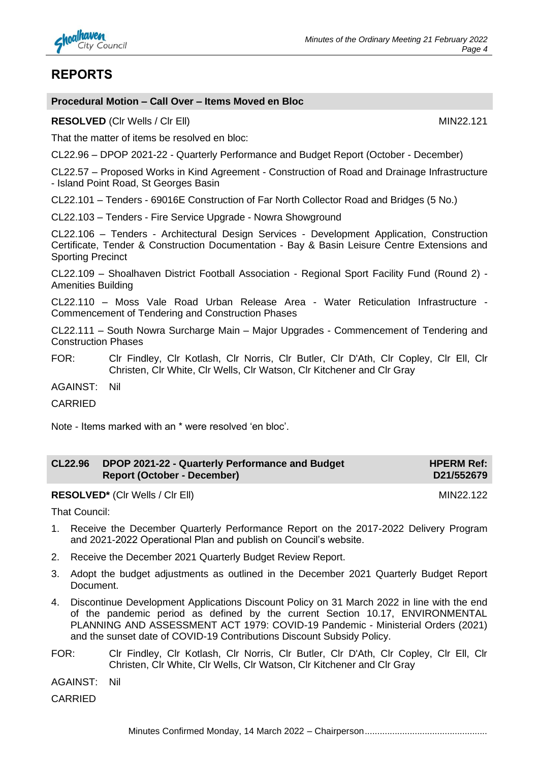

# **REPORTS**

#### **Procedural Motion – Call Over – Items Moved en Bloc**

**RESOLVED** (Cir Wells / Cir Ell) MIN22.121

That the matter of items be resolved en bloc:

CL22.96 – DPOP 2021-22 - Quarterly Performance and Budget Report (October - December)

CL22.57 – Proposed Works in Kind Agreement - Construction of Road and Drainage Infrastructure - Island Point Road, St Georges Basin

CL22.101 – Tenders - 69016E Construction of Far North Collector Road and Bridges (5 No.)

CL22.103 – Tenders - Fire Service Upgrade - Nowra Showground

CL22.106 – Tenders - Architectural Design Services - Development Application, Construction Certificate, Tender & Construction Documentation - Bay & Basin Leisure Centre Extensions and Sporting Precinct

CL22.109 – Shoalhaven District Football Association - Regional Sport Facility Fund (Round 2) - Amenities Building

CL22.110 – Moss Vale Road Urban Release Area - Water Reticulation Infrastructure - Commencement of Tendering and Construction Phases

CL22.111 – South Nowra Surcharge Main – Major Upgrades - Commencement of Tendering and Construction Phases

FOR: Clr Findley, Clr Kotlash, Clr Norris, Clr Butler, Clr D'Ath, Clr Copley, Clr Ell, Clr Christen, Clr White, Clr Wells, Clr Watson, Clr Kitchener and Clr Gray

AGAINST: Nil

CARRIED

Note - Items marked with an \* were resolved 'en bloc'.

| <b>CL22.96</b> | DPOP 2021-22 - Quarterly Performance and Budget | <b>HPERM Ref:</b> |
|----------------|-------------------------------------------------|-------------------|
|                | Report (October - December)                     | D21/552679        |

**RESOLVED\*** (Cir Wells / Cir Ell) MIN22.122

That Council:

- 1. Receive the December Quarterly Performance Report on the 2017-2022 Delivery Program and 2021-2022 Operational Plan and publish on Council's website.
- 2. Receive the December 2021 Quarterly Budget Review Report.
- 3. Adopt the budget adjustments as outlined in the December 2021 Quarterly Budget Report Document.
- 4. Discontinue Development Applications Discount Policy on 31 March 2022 in line with the end of the pandemic period as defined by the current Section 10.17, ENVIRONMENTAL PLANNING AND ASSESSMENT ACT 1979: COVID-19 Pandemic - Ministerial Orders (2021) and the sunset date of COVID-19 Contributions Discount Subsidy Policy.
- FOR: Clr Findley, Clr Kotlash, Clr Norris, Clr Butler, Clr D'Ath, Clr Copley, Clr Ell, Clr Christen, Clr White, Clr Wells, Clr Watson, Clr Kitchener and Clr Gray
- AGAINST: Nil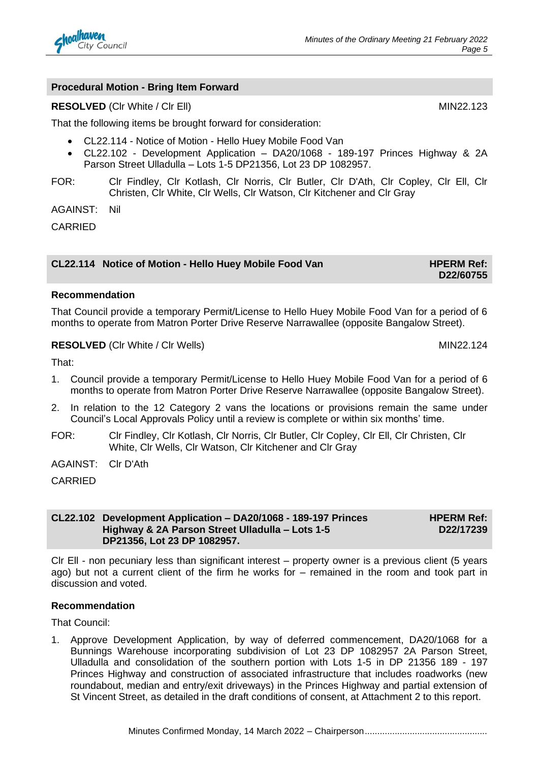

#### **Procedural Motion - Bring Item Forward**

#### **RESOLVED** (CIr White / CIr Ell) MIN22.123

That the following items be brought forward for consideration:

- CL22.114 Notice of Motion Hello Huey Mobile Food Van
- CL22.102 Development Application DA20/1068 189-197 Princes Highway & 2A Parson Street Ulladulla – Lots 1-5 DP21356, Lot 23 DP 1082957.
- FOR: Clr Findley, Clr Kotlash, Clr Norris, Clr Butler, Clr D'Ath, Clr Copley, Clr Ell, Clr Christen, Clr White, Clr Wells, Clr Watson, Clr Kitchener and Clr Gray

AGAINST: Nil

CARRIED

#### **CL22.114** Notice of Motion - Hello Huey Mobile Food Van **HPERM Ref:**

#### **Recommendation**

That Council provide a temporary Permit/License to Hello Huey Mobile Food Van for a period of 6 months to operate from Matron Porter Drive Reserve Narrawallee (opposite Bangalow Street).

#### **RESOLVED** (CIr White / CIr Wells) MIN22.124

That:

- 1. Council provide a temporary Permit/License to Hello Huey Mobile Food Van for a period of 6 months to operate from Matron Porter Drive Reserve Narrawallee (opposite Bangalow Street).
- 2. In relation to the 12 Category 2 vans the locations or provisions remain the same under Council's Local Approvals Policy until a review is complete or within six months' time.
- FOR: Clr Findley, Clr Kotlash, Clr Norris, Clr Butler, Clr Copley, Clr Ell, Clr Christen, Clr White, Clr Wells, Clr Watson, Clr Kitchener and Clr Gray
- AGAINST: Clr D'Ath

CARRIED

**CL22.102 Development Application – DA20/1068 - 189-197 Princes Highway & 2A Parson Street Ulladulla – Lots 1-5 DP21356, Lot 23 DP 1082957. HPERM Ref: D22/17239**

Clr Ell - non pecuniary less than significant interest – property owner is a previous client (5 years ago) but not a current client of the firm he works for – remained in the room and took part in discussion and voted.

#### **Recommendation**

That Council:

1. Approve Development Application, by way of deferred commencement, DA20/1068 for a Bunnings Warehouse incorporating subdivision of Lot 23 DP 1082957 2A Parson Street, Ulladulla and consolidation of the southern portion with Lots 1-5 in DP 21356 189 - 197 Princes Highway and construction of associated infrastructure that includes roadworks (new roundabout, median and entry/exit driveways) in the Princes Highway and partial extension of St Vincent Street, as detailed in the draft conditions of consent, at Attachment 2 to this report.

**D22/60755**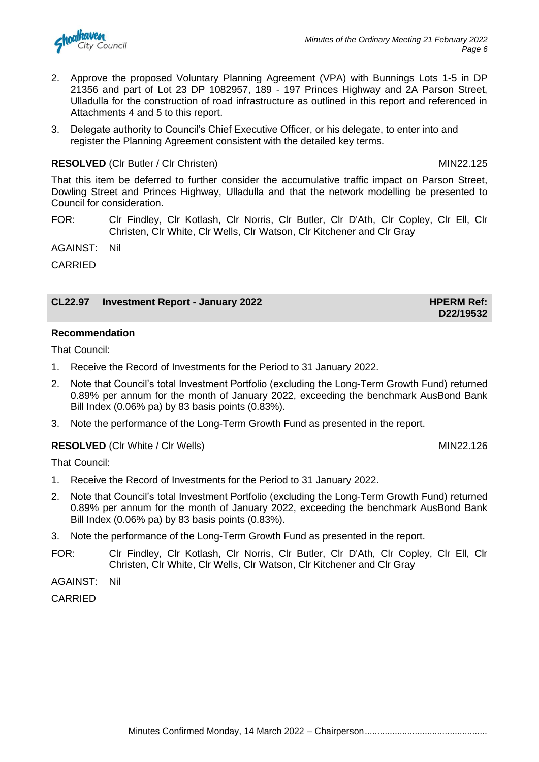- 2. Approve the proposed Voluntary Planning Agreement (VPA) with Bunnings Lots 1-5 in DP 21356 and part of Lot 23 DP 1082957, 189 - 197 Princes Highway and 2A Parson Street, Ulladulla for the construction of road infrastructure as outlined in this report and referenced in Attachments 4 and 5 to this report.
- 3. Delegate authority to Council's Chief Executive Officer, or his delegate, to enter into and register the Planning Agreement consistent with the detailed key terms.

# **RESOLVED** (CIr Butler / CIr Christen) MIN22.125

That this item be deferred to further consider the accumulative traffic impact on Parson Street, Dowling Street and Princes Highway, Ulladulla and that the network modelling be presented to Council for consideration.

FOR: Clr Findley, Clr Kotlash, Clr Norris, Clr Butler, Clr D'Ath, Clr Copley, Clr Ell, Clr Christen, Clr White, Clr Wells, Clr Watson, Clr Kitchener and Clr Gray

AGAINST: Nil

CARRIED

## **CL22.97 Investment Report - January 2022 HPERM Ref: HPERM Ref:**

## **Recommendation**

That Council:

- 1. Receive the Record of Investments for the Period to 31 January 2022.
- 2. Note that Council's total Investment Portfolio (excluding the Long-Term Growth Fund) returned 0.89% per annum for the month of January 2022, exceeding the benchmark AusBond Bank Bill Index (0.06% pa) by 83 basis points (0.83%).
- 3. Note the performance of the Long-Term Growth Fund as presented in the report.

## **RESOLVED** (CIr White / CIr Wells) MIN22.126

**D22/19532**

That Council:

- 1. Receive the Record of Investments for the Period to 31 January 2022.
- 2. Note that Council's total Investment Portfolio (excluding the Long-Term Growth Fund) returned 0.89% per annum for the month of January 2022, exceeding the benchmark AusBond Bank Bill Index (0.06% pa) by 83 basis points (0.83%).
- 3. Note the performance of the Long-Term Growth Fund as presented in the report.
- FOR: Clr Findley, Clr Kotlash, Clr Norris, Clr Butler, Clr D'Ath, Clr Copley, Clr Ell, Clr Christen, Clr White, Clr Wells, Clr Watson, Clr Kitchener and Clr Gray

AGAINST: Nil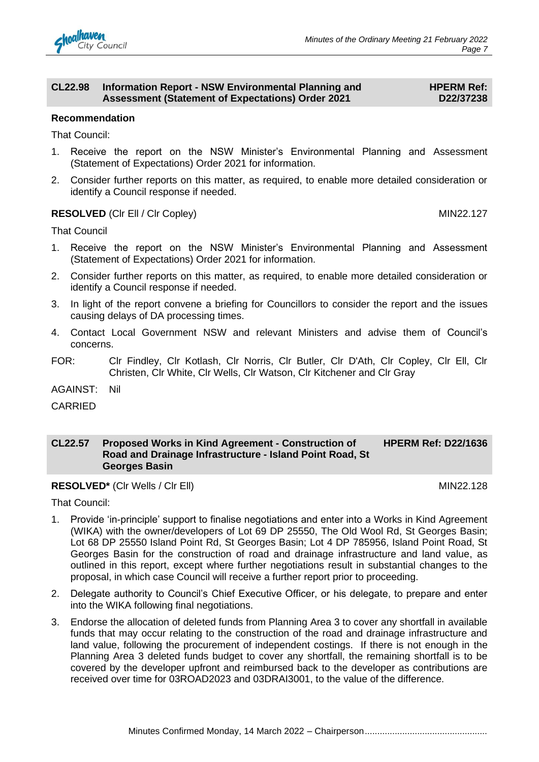

#### **CL22.98 Information Report - NSW Environmental Planning and Assessment (Statement of Expectations) Order 2021**

#### **HPERM Ref: D22/37238**

#### **Recommendation**

That Council:

- 1. Receive the report on the NSW Minister's Environmental Planning and Assessment (Statement of Expectations) Order 2021 for information.
- 2. Consider further reports on this matter, as required, to enable more detailed consideration or identify a Council response if needed.

### **RESOLVED** (CIr Ell / Cir Copley) MIN22.127

That Council

- 1. Receive the report on the NSW Minister's Environmental Planning and Assessment (Statement of Expectations) Order 2021 for information.
- 2. Consider further reports on this matter, as required, to enable more detailed consideration or identify a Council response if needed.
- 3. In light of the report convene a briefing for Councillors to consider the report and the issues causing delays of DA processing times.
- 4. Contact Local Government NSW and relevant Ministers and advise them of Council's concerns.
- FOR: Clr Findley, Clr Kotlash, Clr Norris, Clr Butler, Clr D'Ath, Clr Copley, Clr Ell, Clr Christen, Clr White, Clr Wells, Clr Watson, Clr Kitchener and Clr Gray

AGAINST: Nil

CARRIED

#### **CL22.57 Proposed Works in Kind Agreement - Construction of Road and Drainage Infrastructure - Island Point Road, St Georges Basin HPERM Ref: D22/1636**

**RESOLVED<sup>\*</sup>** (CIr Wells / CIr Ell) MIN22.128

That Council:

- 1. Provide 'in-principle' support to finalise negotiations and enter into a Works in Kind Agreement (WIKA) with the owner/developers of Lot 69 DP 25550, The Old Wool Rd, St Georges Basin; Lot 68 DP 25550 Island Point Rd, St Georges Basin; Lot 4 DP 785956, Island Point Road, St Georges Basin for the construction of road and drainage infrastructure and land value, as outlined in this report, except where further negotiations result in substantial changes to the proposal, in which case Council will receive a further report prior to proceeding.
- 2. Delegate authority to Council's Chief Executive Officer, or his delegate, to prepare and enter into the WIKA following final negotiations.
- 3. Endorse the allocation of deleted funds from Planning Area 3 to cover any shortfall in available funds that may occur relating to the construction of the road and drainage infrastructure and land value, following the procurement of independent costings. If there is not enough in the Planning Area 3 deleted funds budget to cover any shortfall, the remaining shortfall is to be covered by the developer upfront and reimbursed back to the developer as contributions are received over time for 03ROAD2023 and 03DRAI3001, to the value of the difference.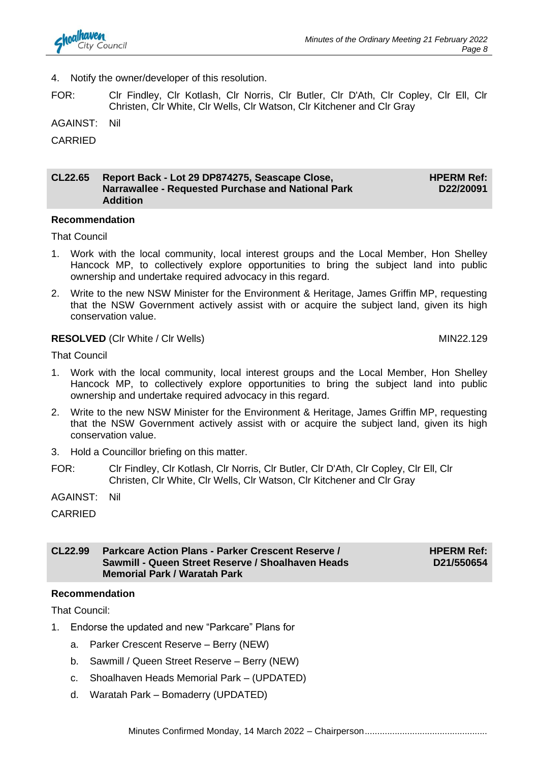4. Notify the owner/developer of this resolution.

FOR: Clr Findley, Clr Kotlash, Clr Norris, Clr Butler, Clr D'Ath, Clr Copley, Clr Ell, Clr Christen, Clr White, Clr Wells, Clr Watson, Clr Kitchener and Clr Gray

AGAINST: Nil

CARRIED

#### **CL22.65 Report Back - Lot 29 DP874275, Seascape Close, Narrawallee - Requested Purchase and National Park Addition HPERM Ref: D22/20091**

#### **Recommendation**

That Council

- 1. Work with the local community, local interest groups and the Local Member, Hon Shelley Hancock MP, to collectively explore opportunities to bring the subject land into public ownership and undertake required advocacy in this regard.
- 2. Write to the new NSW Minister for the Environment & Heritage, James Griffin MP, requesting that the NSW Government actively assist with or acquire the subject land, given its high conservation value.

#### **RESOLVED** (CIr White / CIr Wells) MIN22.129

That Council

- 1. Work with the local community, local interest groups and the Local Member, Hon Shelley Hancock MP, to collectively explore opportunities to bring the subject land into public ownership and undertake required advocacy in this regard.
- 2. Write to the new NSW Minister for the Environment & Heritage, James Griffin MP, requesting that the NSW Government actively assist with or acquire the subject land, given its high conservation value.
- 3. Hold a Councillor briefing on this matter.
- FOR: Clr Findley, Clr Kotlash, Clr Norris, Clr Butler, Clr D'Ath, Clr Copley, Clr Ell, Clr Christen, Clr White, Clr Wells, Clr Watson, Clr Kitchener and Clr Gray

AGAINST: Nil

CARRIED

#### **CL22.99 Parkcare Action Plans - Parker Crescent Reserve / Sawmill - Queen Street Reserve / Shoalhaven Heads Memorial Park / Waratah Park HPERM Ref: D21/550654**

### **Recommendation**

That Council:

- 1. Endorse the updated and new "Parkcare" Plans for
	- a. Parker Crescent Reserve Berry (NEW)
	- b. Sawmill / Queen Street Reserve Berry (NEW)
	- c. Shoalhaven Heads Memorial Park (UPDATED)
	- d. Waratah Park Bomaderry (UPDATED)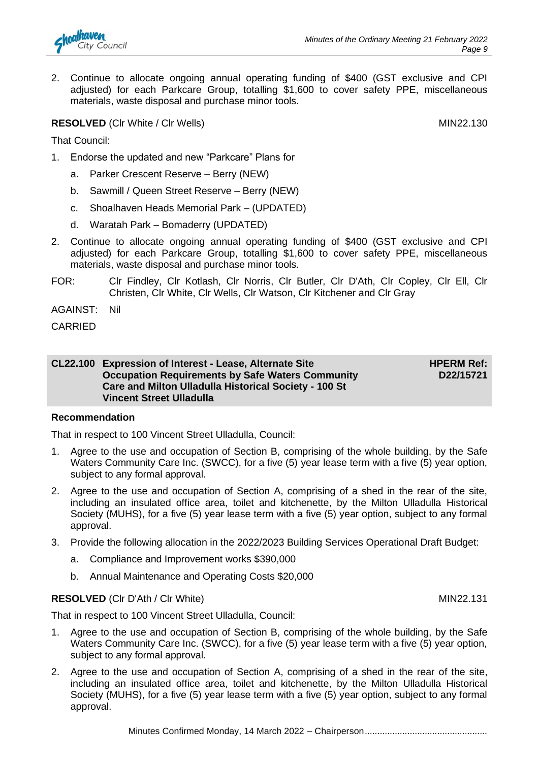2. Continue to allocate ongoing annual operating funding of \$400 (GST exclusive and CPI adjusted) for each Parkcare Group, totalling \$1,600 to cover safety PPE, miscellaneous materials, waste disposal and purchase minor tools.

## **RESOLVED** (CIr White / CIr Wells) MIN22.130

That Council:

- 1. Endorse the updated and new "Parkcare" Plans for
	- a. Parker Crescent Reserve Berry (NEW)
	- b. Sawmill / Queen Street Reserve Berry (NEW)
	- c. Shoalhaven Heads Memorial Park (UPDATED)
	- d. Waratah Park Bomaderry (UPDATED)
- 2. Continue to allocate ongoing annual operating funding of \$400 (GST exclusive and CPI adjusted) for each Parkcare Group, totalling \$1,600 to cover safety PPE, miscellaneous materials, waste disposal and purchase minor tools.
- FOR: Clr Findley, Clr Kotlash, Clr Norris, Clr Butler, Clr D'Ath, Clr Copley, Clr Ell, Clr Christen, Clr White, Clr Wells, Clr Watson, Clr Kitchener and Clr Gray

AGAINST: Nil

CARRIED

#### **CL22.100 Expression of Interest - Lease, Alternate Site Occupation Requirements by Safe Waters Community Care and Milton Ulladulla Historical Society - 100 St Vincent Street Ulladulla HPERM Ref: D22/15721**

**Recommendation** 

That in respect to 100 Vincent Street Ulladulla, Council:

- 1. Agree to the use and occupation of Section B, comprising of the whole building, by the Safe Waters Community Care Inc. (SWCC), for a five (5) year lease term with a five (5) year option, subject to any formal approval.
- 2. Agree to the use and occupation of Section A, comprising of a shed in the rear of the site, including an insulated office area, toilet and kitchenette, by the Milton Ulladulla Historical Society (MUHS), for a five (5) year lease term with a five (5) year option, subject to any formal approval.
- 3. Provide the following allocation in the 2022/2023 Building Services Operational Draft Budget:
	- a. Compliance and Improvement works \$390,000
	- b. Annual Maintenance and Operating Costs \$20,000

#### **RESOLVED** (CIr D'Ath / CIr White) MIN22.131

That in respect to 100 Vincent Street Ulladulla, Council:

- 1. Agree to the use and occupation of Section B, comprising of the whole building, by the Safe Waters Community Care Inc. (SWCC), for a five (5) year lease term with a five (5) year option, subject to any formal approval.
- 2. Agree to the use and occupation of Section A, comprising of a shed in the rear of the site, including an insulated office area, toilet and kitchenette, by the Milton Ulladulla Historical Society (MUHS), for a five (5) year lease term with a five (5) year option, subject to any formal approval.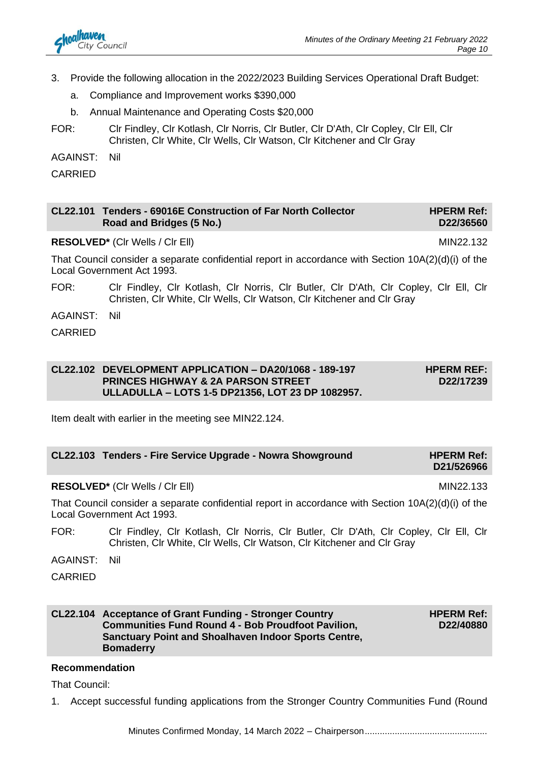

- 3. Provide the following allocation in the 2022/2023 Building Services Operational Draft Budget:
	- a. Compliance and Improvement works \$390,000
	- b. Annual Maintenance and Operating Costs \$20,000
- FOR: Clr Findley, Clr Kotlash, Clr Norris, Clr Butler, Clr D'Ath, Clr Copley, Clr Ell, Clr Christen, Clr White, Clr Wells, Clr Watson, Clr Kitchener and Clr Gray

AGAINST: Nil

CARRIED

#### **CL22.101 Tenders - 69016E Construction of Far North Collector Road and Bridges (5 No.) HPERM Ref: D22/36560**

**RESOLVED<sup>\*</sup>** (CIr Wells / CIr Ell) MIN22.132

That Council consider a separate confidential report in accordance with Section 10A(2)(d)(i) of the Local Government Act 1993.

- FOR: Clr Findley, Clr Kotlash, Clr Norris, Clr Butler, Clr D'Ath, Clr Copley, Clr Ell, Clr Christen, Clr White, Clr Wells, Clr Watson, Clr Kitchener and Clr Gray
- AGAINST: Nil
- CARRIED

#### **CL22.102 DEVELOPMENT APPLICATION – DA20/1068 - 189-197 PRINCES HIGHWAY & 2A PARSON STREET ULLADULLA – LOTS 1-5 DP21356, LOT 23 DP 1082957. HPERM REF: D22/17239**

Item dealt with earlier in the meeting see MIN22.124.

| CL22.103 Tenders - Fire Service Upgrade - Nowra Showground | <b>HPERM Ref:</b> |
|------------------------------------------------------------|-------------------|
|                                                            | D21/526966        |

### **RESOLVED\*** (CIr Wells / CIr Ell) MIN22.133

That Council consider a separate confidential report in accordance with Section 10A(2)(d)(i) of the Local Government Act 1993.

- FOR: Clr Findley, Clr Kotlash, Clr Norris, Clr Butler, Clr D'Ath, Clr Copley, Clr Ell, Clr Christen, Clr White, Clr Wells, Clr Watson, Clr Kitchener and Clr Gray
- AGAINST: Nil

CARRIED

#### **CL22.104 Acceptance of Grant Funding - Stronger Country Communities Fund Round 4 - Bob Proudfoot Pavilion, Sanctuary Point and Shoalhaven Indoor Sports Centre, Bomaderry**

**HPERM Ref: D22/40880**

**Recommendation**

That Council:

1. Accept successful funding applications from the Stronger Country Communities Fund (Round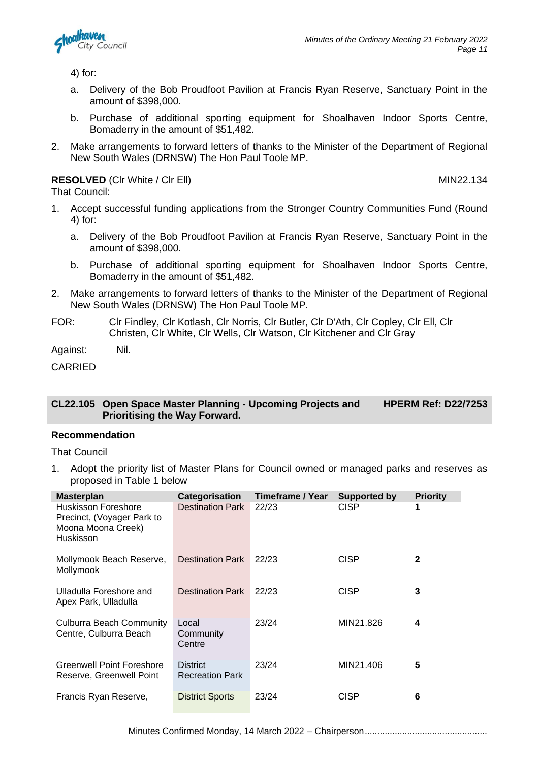

4) for:

- a. Delivery of the Bob Proudfoot Pavilion at Francis Ryan Reserve, Sanctuary Point in the amount of \$398,000.
- b. Purchase of additional sporting equipment for Shoalhaven Indoor Sports Centre, Bomaderry in the amount of \$51,482.
- 2. Make arrangements to forward letters of thanks to the Minister of the Department of Regional New South Wales (DRNSW) The Hon Paul Toole MP.

**RESOLVED** (CIr White / CIr Ell) MIN22.134 That Council:

- 
- 1. Accept successful funding applications from the Stronger Country Communities Fund (Round 4) for:
	- a. Delivery of the Bob Proudfoot Pavilion at Francis Ryan Reserve, Sanctuary Point in the amount of \$398,000.
	- b. Purchase of additional sporting equipment for Shoalhaven Indoor Sports Centre, Bomaderry in the amount of \$51,482.
- 2. Make arrangements to forward letters of thanks to the Minister of the Department of Regional New South Wales (DRNSW) The Hon Paul Toole MP.
- FOR: Clr Findley, Clr Kotlash, Clr Norris, Clr Butler, Clr D'Ath, Clr Copley, Clr Ell, Clr Christen, Clr White, Clr Wells, Clr Watson, Clr Kitchener and Clr Gray

Against: Nil.

CARRIED

#### **CL22.105 Open Space Master Planning - Upcoming Projects and Prioritising the Way Forward. HPERM Ref: D22/7253**

### **Recommendation**

That Council

1. Adopt the priority list of Master Plans for Council owned or managed parks and reserves as proposed in Table 1 below

| <b>Masterplan</b>                                                                    | Categorisation                            | Timeframe / Year | <b>Supported by</b> | <b>Priority</b> |
|--------------------------------------------------------------------------------------|-------------------------------------------|------------------|---------------------|-----------------|
| Huskisson Foreshore<br>Precinct, (Voyager Park to<br>Moona Moona Creek)<br>Huskisson | <b>Destination Park</b>                   | 22/23            | <b>CISP</b>         | 1               |
| Mollymook Beach Reserve,<br>Mollymook                                                | <b>Destination Park</b>                   | 22/23            | <b>CISP</b>         | $\mathbf{2}$    |
| Ulladulla Foreshore and<br>Apex Park, Ulladulla                                      | <b>Destination Park</b>                   | 22/23            | <b>CISP</b>         | 3               |
| Culburra Beach Community<br>Centre, Culburra Beach                                   | Local<br>Community<br>Centre              | 23/24            | MIN21.826           | 4               |
| Greenwell Point Foreshore<br>Reserve, Greenwell Point                                | <b>District</b><br><b>Recreation Park</b> | 23/24            | MIN21.406           | 5               |
| Francis Ryan Reserve,                                                                | <b>District Sports</b>                    | 23/24            | <b>CISP</b>         | 6               |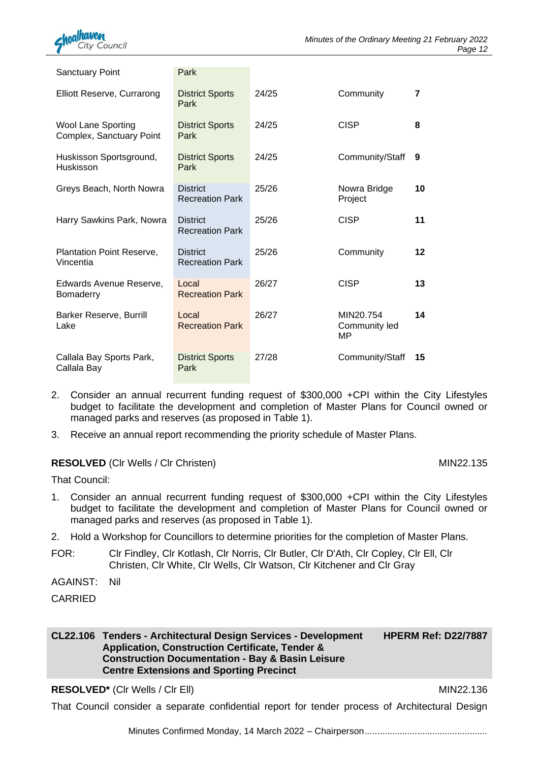

| Sanctuary Point                                       | Park                                      |       |                                  |         |
|-------------------------------------------------------|-------------------------------------------|-------|----------------------------------|---------|
| Elliott Reserve, Currarong                            | <b>District Sports</b><br>Park            | 24/25 | Community                        | 7       |
| <b>Wool Lane Sporting</b><br>Complex, Sanctuary Point | <b>District Sports</b><br>Park            | 24/25 | <b>CISP</b>                      | 8       |
| Huskisson Sportsground,<br>Huskisson                  | <b>District Sports</b><br>Park            | 24/25 | Community/Staff                  | 9       |
| Greys Beach, North Nowra                              | <b>District</b><br><b>Recreation Park</b> | 25/26 | Nowra Bridge<br>Project          | 10      |
| Harry Sawkins Park, Nowra                             | <b>District</b><br><b>Recreation Park</b> | 25/26 | <b>CISP</b>                      | 11      |
| <b>Plantation Point Reserve,</b><br>Vincentia         | <b>District</b><br><b>Recreation Park</b> | 25/26 | Community                        | $12 \,$ |
| Edwards Avenue Reserve,<br>Bomaderry                  | Local<br><b>Recreation Park</b>           | 26/27 | <b>CISP</b>                      | 13      |
| Barker Reserve, Burrill<br>Lake                       | Local<br><b>Recreation Park</b>           | 26/27 | MIN20.754<br>Community led<br>MP | 14      |
| Callala Bay Sports Park,<br>Callala Bay               | <b>District Sports</b><br>Park            | 27/28 | Community/Staff                  | 15      |

- 2. Consider an annual recurrent funding request of \$300,000 +CPI within the City Lifestyles budget to facilitate the development and completion of Master Plans for Council owned or managed parks and reserves (as proposed in Table 1).
- 3. Receive an annual report recommending the priority schedule of Master Plans.

### **RESOLVED** (Cir Wells / Cir Christen) MIN22.135

That Council:

- 1. Consider an annual recurrent funding request of \$300,000 +CPI within the City Lifestyles budget to facilitate the development and completion of Master Plans for Council owned or managed parks and reserves (as proposed in Table 1).
- 2. Hold a Workshop for Councillors to determine priorities for the completion of Master Plans.
- FOR: Clr Findley, Clr Kotlash, Clr Norris, Clr Butler, Clr D'Ath, Clr Copley, Clr Ell, Clr Christen, Clr White, Clr Wells, Clr Watson, Clr Kitchener and Clr Gray
- AGAINST: Nil

CARRIED

**CL22.106 Tenders - Architectural Design Services - Development Application, Construction Certificate, Tender & Construction Documentation - Bay & Basin Leisure Centre Extensions and Sporting Precinct HPERM Ref: D22/7887**

### **RESOLVED\*** (CIr Wells / CIr Ell) MIN22.136

That Council consider a separate confidential report for tender process of Architectural Design

Minutes Confirmed Monday, 14 March 2022 - Chairperson.........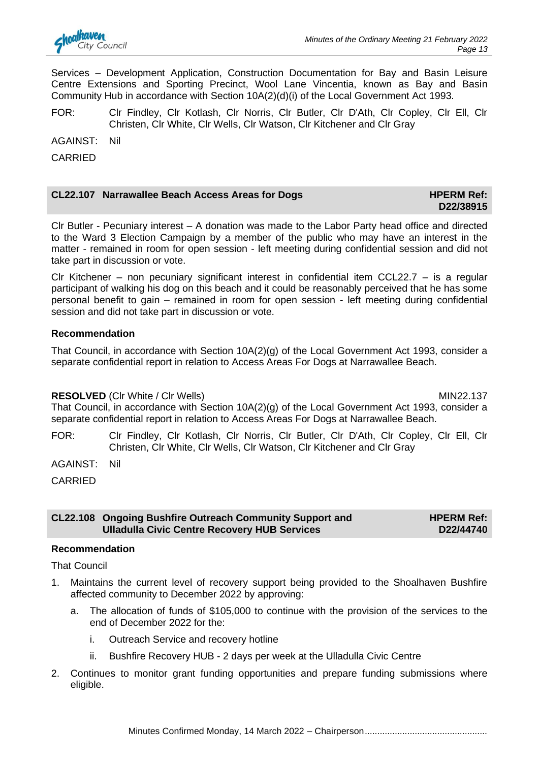

Services – Development Application, Construction Documentation for Bay and Basin Leisure Centre Extensions and Sporting Precinct, Wool Lane Vincentia, known as Bay and Basin Community Hub in accordance with Section 10A(2)(d)(i) of the Local Government Act 1993.

FOR: Clr Findley, Clr Kotlash, Clr Norris, Clr Butler, Clr D'Ath, Clr Copley, Clr Ell, Clr Christen, Clr White, Clr Wells, Clr Watson, Clr Kitchener and Clr Gray

AGAINST: Nil

CARRIED

## **CL22.107** Narrawallee Beach Access Areas for Dogs **HPERM Ref: HPERM Ref:**

# **D22/38915**

Clr Butler - Pecuniary interest – A donation was made to the Labor Party head office and directed to the Ward 3 Election Campaign by a member of the public who may have an interest in the matter - remained in room for open session - left meeting during confidential session and did not take part in discussion or vote.

Clr Kitchener – non pecuniary significant interest in confidential item CCL22.7 – is a regular participant of walking his dog on this beach and it could be reasonably perceived that he has some personal benefit to gain – remained in room for open session - left meeting during confidential session and did not take part in discussion or vote.

#### **Recommendation**

That Council, in accordance with Section 10A(2)(g) of the Local Government Act 1993, consider a separate confidential report in relation to Access Areas For Dogs at Narrawallee Beach.

### **RESOLVED** (CIr White / CIr Wells) MIN22.137

That Council, in accordance with Section 10A(2)(g) of the Local Government Act 1993, consider a separate confidential report in relation to Access Areas For Dogs at Narrawallee Beach.

FOR: Clr Findley, Clr Kotlash, Clr Norris, Clr Butler, Clr D'Ath, Clr Copley, Clr Ell, Clr Christen, Clr White, Clr Wells, Clr Watson, Clr Kitchener and Clr Gray

AGAINST: Nil

CARRIED

#### **CL22.108 Ongoing Bushfire Outreach Community Support and Ulladulla Civic Centre Recovery HUB Services HPERM Ref: D22/44740**

#### **Recommendation**

That Council

- 1. Maintains the current level of recovery support being provided to the Shoalhaven Bushfire affected community to December 2022 by approving:
	- a. The allocation of funds of \$105,000 to continue with the provision of the services to the end of December 2022 for the:
		- i. Outreach Service and recovery hotline
		- ii. Bushfire Recovery HUB 2 days per week at the Ulladulla Civic Centre
- 2. Continues to monitor grant funding opportunities and prepare funding submissions where eligible.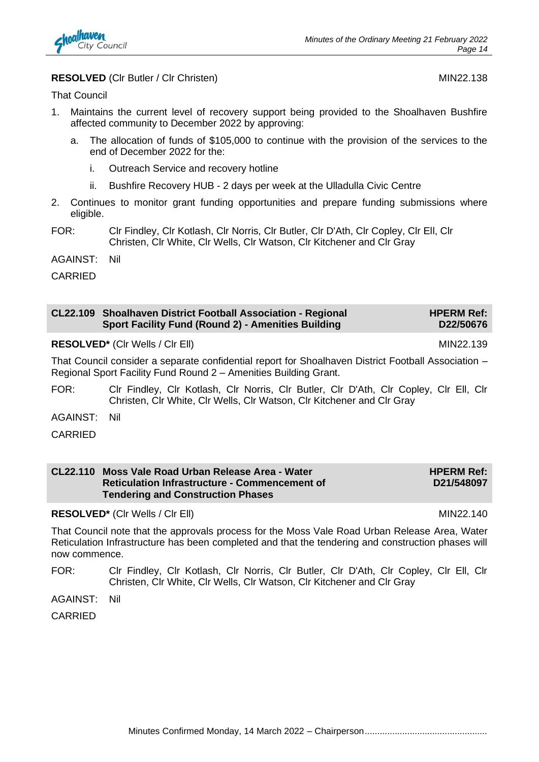

#### **RESOLVED** (CIr Butler / CIr Christen) MIN22.138

That Council

- 1. Maintains the current level of recovery support being provided to the Shoalhaven Bushfire affected community to December 2022 by approving:
	- a. The allocation of funds of \$105,000 to continue with the provision of the services to the end of December 2022 for the:
		- i. Outreach Service and recovery hotline
		- ii. Bushfire Recovery HUB 2 days per week at the Ulladulla Civic Centre
- 2. Continues to monitor grant funding opportunities and prepare funding submissions where eligible.
- FOR: Clr Findley, Clr Kotlash, Clr Norris, Clr Butler, Clr D'Ath, Clr Copley, Clr Ell, Clr Christen, Clr White, Clr Wells, Clr Watson, Clr Kitchener and Clr Gray

AGAINST: Nil

CARRIED

| CL22.109 Shoalhaven District Football Association - Regional | <b>HPERM Ref:</b> |
|--------------------------------------------------------------|-------------------|
| <b>Sport Facility Fund (Round 2) - Amenities Building</b>    | D22/50676         |

**RESOLVED\*** (CIr Wells / CIr Ell) MIN22.139

That Council consider a separate confidential report for Shoalhaven District Football Association – Regional Sport Facility Fund Round 2 – Amenities Building Grant.

FOR: Clr Findley, Clr Kotlash, Clr Norris, Clr Butler, Clr D'Ath, Clr Copley, Clr Ell, Clr Christen, Clr White, Clr Wells, Clr Watson, Clr Kitchener and Clr Gray

AGAINST: Nil

CARRIED

| CL22.110 Moss Vale Road Urban Release Area - Water   | <b>HPERM Ref:</b> |
|------------------------------------------------------|-------------------|
| <b>Reticulation Infrastructure - Commencement of</b> | D21/548097        |
| <b>Tendering and Construction Phases</b>             |                   |

**RESOLVED<sup>\*</sup>** (CIr Wells / CIr Ell) MIN22.140

That Council note that the approvals process for the Moss Vale Road Urban Release Area, Water Reticulation Infrastructure has been completed and that the tendering and construction phases will now commence.

FOR: Clr Findley, Clr Kotlash, Clr Norris, Clr Butler, Clr D'Ath, Clr Copley, Clr Ell, Clr Christen, Clr White, Clr Wells, Clr Watson, Clr Kitchener and Clr Gray

AGAINST: Nil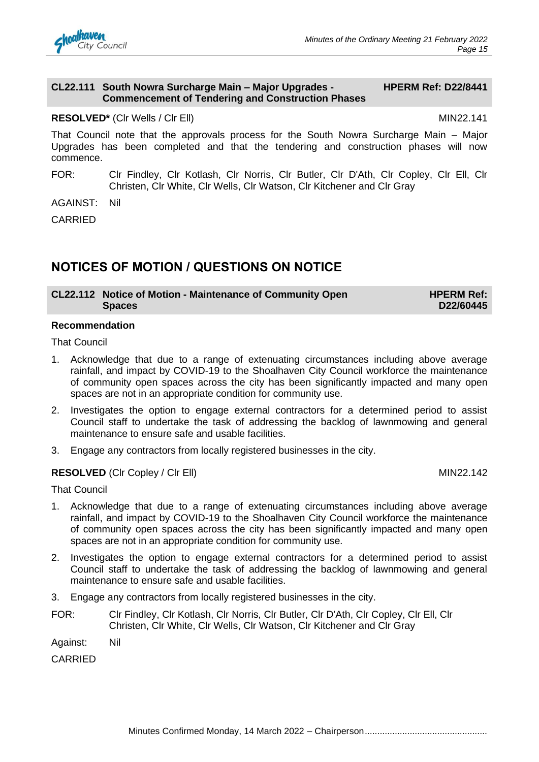#### **CL22.111 South Nowra Surcharge Main – Major Upgrades - Commencement of Tendering and Construction Phases**

**HPERM Ref: D22/8441**

#### **RESOLVED\*** (CIr Wells / CIr Ell) MIN22.141

That Council note that the approvals process for the South Nowra Surcharge Main – Major Upgrades has been completed and that the tendering and construction phases will now commence.

FOR: Clr Findley, Clr Kotlash, Clr Norris, Clr Butler, Clr D'Ath, Clr Copley, Clr Ell, Clr Christen, Clr White, Clr Wells, Clr Watson, Clr Kitchener and Clr Gray

AGAINST: Nil

CARRIED

# **NOTICES OF MOTION / QUESTIONS ON NOTICE**

| CL22.112 Notice of Motion - Maintenance of Community Open | <b>HPERM Ref:</b> |
|-----------------------------------------------------------|-------------------|
| <b>Spaces</b>                                             | D22/60445         |

#### **Recommendation**

That Council

- 1. Acknowledge that due to a range of extenuating circumstances including above average rainfall, and impact by COVID-19 to the Shoalhaven City Council workforce the maintenance of community open spaces across the city has been significantly impacted and many open spaces are not in an appropriate condition for community use.
- 2. Investigates the option to engage external contractors for a determined period to assist Council staff to undertake the task of addressing the backlog of lawnmowing and general maintenance to ensure safe and usable facilities.
- 3. Engage any contractors from locally registered businesses in the city.

### **RESOLVED** (CIr Copley / CIr Ell) MIN22.142

That Council

- 1. Acknowledge that due to a range of extenuating circumstances including above average rainfall, and impact by COVID-19 to the Shoalhaven City Council workforce the maintenance of community open spaces across the city has been significantly impacted and many open spaces are not in an appropriate condition for community use.
- 2. Investigates the option to engage external contractors for a determined period to assist Council staff to undertake the task of addressing the backlog of lawnmowing and general maintenance to ensure safe and usable facilities.
- 3. Engage any contractors from locally registered businesses in the city.
- FOR: Clr Findley, Clr Kotlash, Clr Norris, Clr Butler, Clr D'Ath, Clr Copley, Clr Ell, Clr Christen, Clr White, Clr Wells, Clr Watson, Clr Kitchener and Clr Gray
- Against: Nil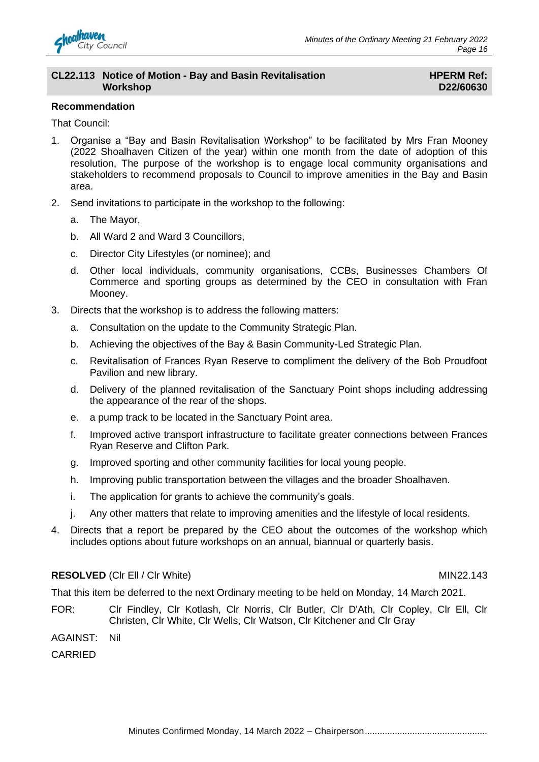

#### **CL22.113 Notice of Motion - Bay and Basin Revitalisation Workshop**

### **HPERM Ref: D22/60630**

#### **Recommendation**

That Council:

- 1. Organise a "Bay and Basin Revitalisation Workshop" to be facilitated by Mrs Fran Mooney (2022 Shoalhaven Citizen of the year) within one month from the date of adoption of this resolution, The purpose of the workshop is to engage local community organisations and stakeholders to recommend proposals to Council to improve amenities in the Bay and Basin area.
- 2. Send invitations to participate in the workshop to the following:
	- a. The Mayor,
	- b. All Ward 2 and Ward 3 Councillors,
	- c. Director City Lifestyles (or nominee); and
	- d. Other local individuals, community organisations, CCBs, Businesses Chambers Of Commerce and sporting groups as determined by the CEO in consultation with Fran Mooney.
- 3. Directs that the workshop is to address the following matters:
	- a. Consultation on the update to the Community Strategic Plan.
	- b. Achieving the objectives of the Bay & Basin Community-Led Strategic Plan.
	- c. Revitalisation of Frances Ryan Reserve to compliment the delivery of the Bob Proudfoot Pavilion and new library.
	- d. Delivery of the planned revitalisation of the Sanctuary Point shops including addressing the appearance of the rear of the shops.
	- e. a pump track to be located in the Sanctuary Point area.
	- f. Improved active transport infrastructure to facilitate greater connections between Frances Ryan Reserve and Clifton Park.
	- g. Improved sporting and other community facilities for local young people.
	- h. Improving public transportation between the villages and the broader Shoalhaven.
	- i. The application for grants to achieve the community's goals.
	- j. Any other matters that relate to improving amenities and the lifestyle of local residents.
- 4. Directs that a report be prepared by the CEO about the outcomes of the workshop which includes options about future workshops on an annual, biannual or quarterly basis.

#### **RESOLVED** (CIr Ell / CIr White) MIN22.143

That this item be deferred to the next Ordinary meeting to be held on Monday, 14 March 2021.

- FOR: Clr Findley, Clr Kotlash, Clr Norris, Clr Butler, Clr D'Ath, Clr Copley, Clr Ell, Clr Christen, Clr White, Clr Wells, Clr Watson, Clr Kitchener and Clr Gray
- AGAINST: Nil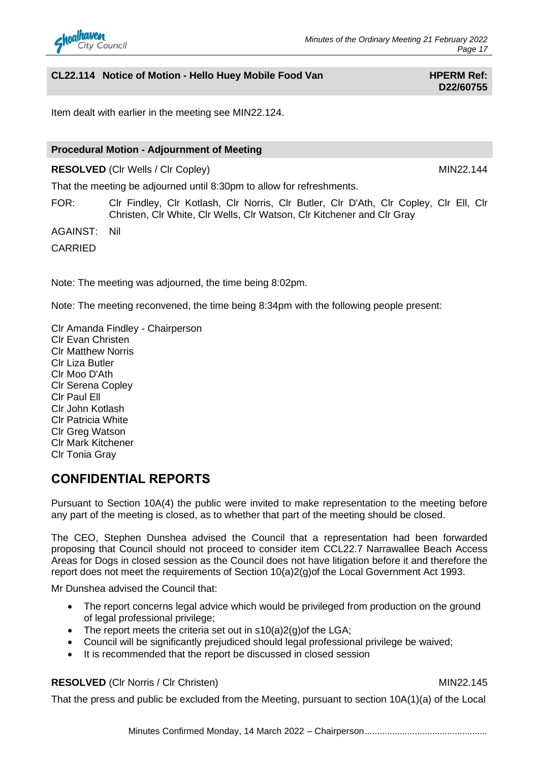

## **CL22.114** Notice of Motion - Hello Huey Mobile Food Van **HPERM Ref:**

# **D22/60755**

Item dealt with earlier in the meeting see MIN22.124.

#### **Procedural Motion - Adjournment of Meeting**

**RESOLVED** (Clr Wells / Clr Copley) MIN22.144

That the meeting be adjourned until 8:30pm to allow for refreshments.

FOR: Clr Findley, Clr Kotlash, Clr Norris, Clr Butler, Clr D'Ath, Clr Copley, Clr Ell, Clr Christen, Clr White, Clr Wells, Clr Watson, Clr Kitchener and Clr Gray

AGAINST: Nil

CARRIED

Note: The meeting was adjourned, the time being 8:02pm.

Note: The meeting reconvened, the time being 8:34pm with the following people present:

Clr Amanda Findley - Chairperson Clr Evan Christen Clr Matthew Norris Clr Liza Butler Clr Moo D'Ath Clr Serena Copley Clr Paul Ell Clr John Kotlash Clr Patricia White Clr Greg Watson Clr Mark Kitchener Clr Tonia Gray

## **CONFIDENTIAL REPORTS**

Pursuant to Section 10A(4) the public were invited to make representation to the meeting before any part of the meeting is closed, as to whether that part of the meeting should be closed.

The CEO, Stephen Dunshea advised the Council that a representation had been forwarded proposing that Council should not proceed to consider item CCL22.7 Narrawallee Beach Access Areas for Dogs in closed session as the Council does not have litigation before it and therefore the report does not meet the requirements of Section 10(a)2(g)of the Local Government Act 1993.

Mr Dunshea advised the Council that:

- The report concerns legal advice which would be privileged from production on the ground of legal professional privilege;
- The report meets the criteria set out in  $s10(a)2(g)$  of the LGA;
- Council will be significantly prejudiced should legal professional privilege be waived;
- It is recommended that the report be discussed in closed session

#### **RESOLVED** (CIr Norris / CIr Christen) MIN22.145

That the press and public be excluded from the Meeting, pursuant to section 10A(1)(a) of the Local

Minutes Confirmed Monday, 14 March 2022 - Chairperson.........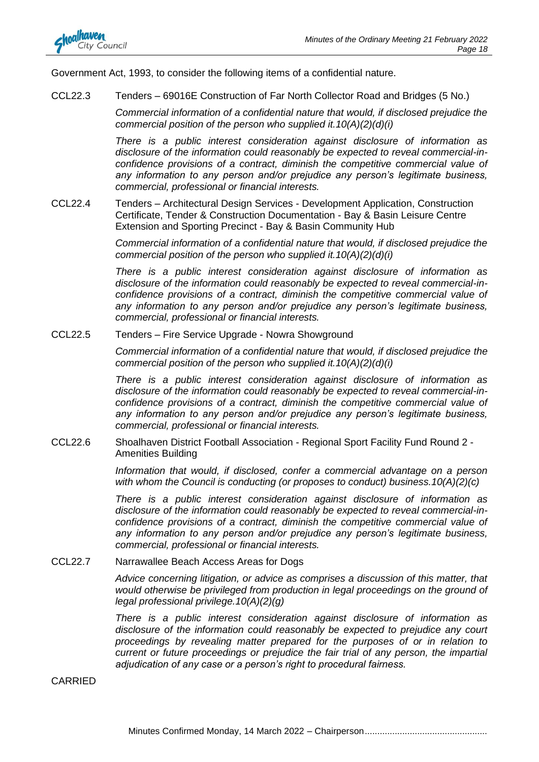

Government Act, 1993, to consider the following items of a confidential nature.

CCL22.3 Tenders – 69016E Construction of Far North Collector Road and Bridges (5 No.)

*Commercial information of a confidential nature that would, if disclosed prejudice the commercial position of the person who supplied it.10(A)(2)(d)(i)*

*There is a public interest consideration against disclosure of information as disclosure of the information could reasonably be expected to reveal commercial-inconfidence provisions of a contract, diminish the competitive commercial value of any information to any person and/or prejudice any person's legitimate business, commercial, professional or financial interests.*

CCL22.4 Tenders – Architectural Design Services - Development Application, Construction Certificate, Tender & Construction Documentation - Bay & Basin Leisure Centre Extension and Sporting Precinct - Bay & Basin Community Hub

> *Commercial information of a confidential nature that would, if disclosed prejudice the commercial position of the person who supplied it.10(A)(2)(d)(i)*

> *There is a public interest consideration against disclosure of information as disclosure of the information could reasonably be expected to reveal commercial-inconfidence provisions of a contract, diminish the competitive commercial value of any information to any person and/or prejudice any person's legitimate business, commercial, professional or financial interests.*

CCL22.5 Tenders – Fire Service Upgrade - Nowra Showground

*Commercial information of a confidential nature that would, if disclosed prejudice the commercial position of the person who supplied it.10(A)(2)(d)(i)*

*There is a public interest consideration against disclosure of information as disclosure of the information could reasonably be expected to reveal commercial-inconfidence provisions of a contract, diminish the competitive commercial value of any information to any person and/or prejudice any person's legitimate business, commercial, professional or financial interests.*

CCL22.6 Shoalhaven District Football Association - Regional Sport Facility Fund Round 2 - Amenities Building

> *Information that would, if disclosed, confer a commercial advantage on a person with whom the Council is conducting (or proposes to conduct) business.10(A)(2)(c)*

> *There is a public interest consideration against disclosure of information as disclosure of the information could reasonably be expected to reveal commercial-inconfidence provisions of a contract, diminish the competitive commercial value of any information to any person and/or prejudice any person's legitimate business, commercial, professional or financial interests.*

CCL22.7 Narrawallee Beach Access Areas for Dogs

*Advice concerning litigation, or advice as comprises a discussion of this matter, that would otherwise be privileged from production in legal proceedings on the ground of legal professional privilege.10(A)(2)(g)*

*There is a public interest consideration against disclosure of information as disclosure of the information could reasonably be expected to prejudice any court proceedings by revealing matter prepared for the purposes of or in relation to current or future proceedings or prejudice the fair trial of any person, the impartial adjudication of any case or a person's right to procedural fairness.*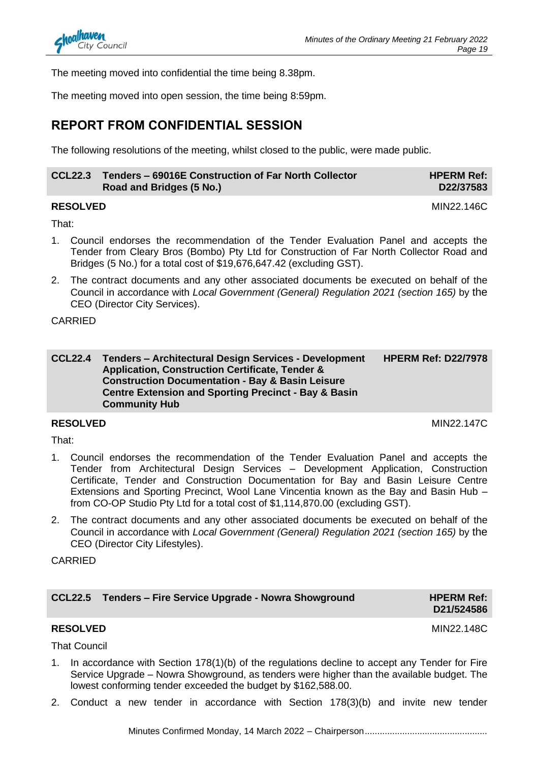The meeting moved into confidential the time being 8.38pm.

The meeting moved into open session, the time being 8:59pm.

# **REPORT FROM CONFIDENTIAL SESSION**

The following resolutions of the meeting, whilst closed to the public, were made public.

| CCL22.3 Tenders - 69016E Construction of Far North Collector | <b>HPERM Ref:</b> |
|--------------------------------------------------------------|-------------------|
| Road and Bridges (5 No.)                                     | D22/37583         |

#### **RESOLVED** MIN22.146C

That:

- 1. Council endorses the recommendation of the Tender Evaluation Panel and accepts the Tender from Cleary Bros (Bombo) Pty Ltd for Construction of Far North Collector Road and Bridges (5 No.) for a total cost of \$19,676,647.42 (excluding GST).
- 2. The contract documents and any other associated documents be executed on behalf of the Council in accordance with *Local Government (General) Regulation 2021 (section 165)* by the CEO (Director City Services).

### CARRIED

**CCL22.4 Tenders – Architectural Design Services - Development Application, Construction Certificate, Tender & Construction Documentation - Bay & Basin Leisure Centre Extension and Sporting Precinct - Bay & Basin Community Hub HPERM Ref: D22/7978**

### **RESOLVED** MIN22.147C

That:

- 1. Council endorses the recommendation of the Tender Evaluation Panel and accepts the Tender from Architectural Design Services – Development Application, Construction Certificate, Tender and Construction Documentation for Bay and Basin Leisure Centre Extensions and Sporting Precinct, Wool Lane Vincentia known as the Bay and Basin Hub – from CO-OP Studio Pty Ltd for a total cost of \$1,114,870.00 (excluding GST).
- 2. The contract documents and any other associated documents be executed on behalf of the Council in accordance with *Local Government (General) Regulation 2021 (section 165)* by the CEO (Director City Lifestyles).

CARRIED

| <b>CCL22.5 Tenders - Fire Service Upgrade - Nowra Showground</b> | <b>HPERM Ref:</b> |
|------------------------------------------------------------------|-------------------|
|------------------------------------------------------------------|-------------------|

### **RESOLVED** MIN22.148C

**D21/524586**

That Council

- 1. In accordance with Section 178(1)(b) of the regulations decline to accept any Tender for Fire Service Upgrade – Nowra Showground, as tenders were higher than the available budget. The lowest conforming tender exceeded the budget by \$162,588.00.
- 2. Conduct a new tender in accordance with Section 178(3)(b) and invite new tender